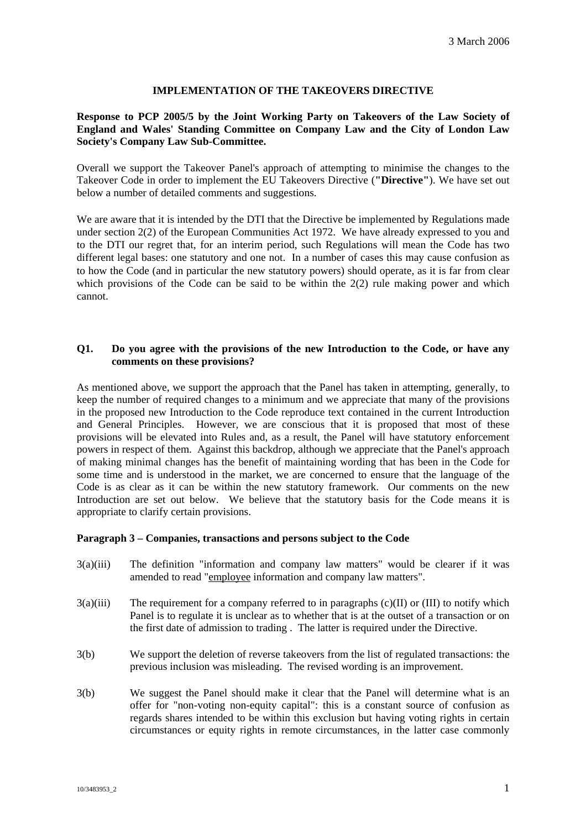# **IMPLEMENTATION OF THE TAKEOVERS DIRECTIVE**

# **Response to PCP 2005/5 by the Joint Working Party on Takeovers of the Law Society of England and Wales' Standing Committee on Company Law and the City of London Law Society's Company Law Sub-Committee.**

Overall we support the Takeover Panel's approach of attempting to minimise the changes to the Takeover Code in order to implement the EU Takeovers Directive (**"Directive"**). We have set out below a number of detailed comments and suggestions.

We are aware that it is intended by the DTI that the Directive be implemented by Regulations made under section 2(2) of the European Communities Act 1972. We have already expressed to you and to the DTI our regret that, for an interim period, such Regulations will mean the Code has two different legal bases: one statutory and one not. In a number of cases this may cause confusion as to how the Code (and in particular the new statutory powers) should operate, as it is far from clear which provisions of the Code can be said to be within the 2(2) rule making power and which cannot.

# **Q1. Do you agree with the provisions of the new Introduction to the Code, or have any comments on these provisions?**

As mentioned above, we support the approach that the Panel has taken in attempting, generally, to keep the number of required changes to a minimum and we appreciate that many of the provisions in the proposed new Introduction to the Code reproduce text contained in the current Introduction and General Principles. However, we are conscious that it is proposed that most of these provisions will be elevated into Rules and, as a result, the Panel will have statutory enforcement powers in respect of them. Against this backdrop, although we appreciate that the Panel's approach of making minimal changes has the benefit of maintaining wording that has been in the Code for some time and is understood in the market, we are concerned to ensure that the language of the Code is as clear as it can be within the new statutory framework. Our comments on the new Introduction are set out below. We believe that the statutory basis for the Code means it is appropriate to clarify certain provisions.

## **Paragraph 3 – Companies, transactions and persons subject to the Code**

- 3(a)(iii) The definition "information and company law matters" would be clearer if it was amended to read "employee information and company law matters".
- $3(a)(iii)$  The requirement for a company referred to in paragraphs  $(c)(II)$  or  $(III)$  to notify which Panel is to regulate it is unclear as to whether that is at the outset of a transaction or on the first date of admission to trading . The latter is required under the Directive.
- 3(b) We support the deletion of reverse takeovers from the list of regulated transactions: the previous inclusion was misleading. The revised wording is an improvement.
- 3(b) We suggest the Panel should make it clear that the Panel will determine what is an offer for "non-voting non-equity capital": this is a constant source of confusion as regards shares intended to be within this exclusion but having voting rights in certain circumstances or equity rights in remote circumstances, in the latter case commonly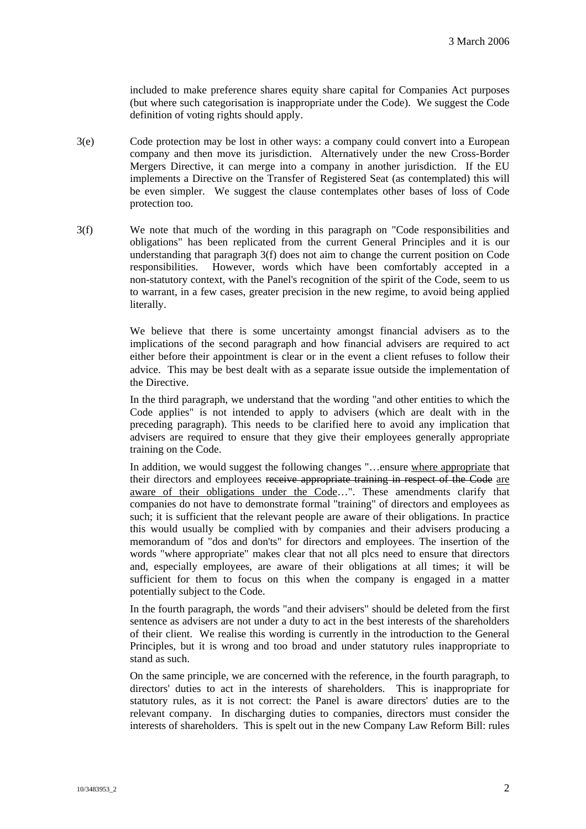included to make preference shares equity share capital for Companies Act purposes (but where such categorisation is inappropriate under the Code). We suggest the Code definition of voting rights should apply.

- 3(e) Code protection may be lost in other ways: a company could convert into a European company and then move its jurisdiction. Alternatively under the new Cross-Border Mergers Directive, it can merge into a company in another jurisdiction. If the EU implements a Directive on the Transfer of Registered Seat (as contemplated) this will be even simpler. We suggest the clause contemplates other bases of loss of Code protection too.
- 3(f) We note that much of the wording in this paragraph on "Code responsibilities and obligations" has been replicated from the current General Principles and it is our understanding that paragraph 3(f) does not aim to change the current position on Code responsibilities. However, words which have been comfortably accepted in a non-statutory context, with the Panel's recognition of the spirit of the Code, seem to us to warrant, in a few cases, greater precision in the new regime, to avoid being applied literally.

We believe that there is some uncertainty amongst financial advisers as to the implications of the second paragraph and how financial advisers are required to act either before their appointment is clear or in the event a client refuses to follow their advice. This may be best dealt with as a separate issue outside the implementation of the Directive.

In the third paragraph, we understand that the wording "and other entities to which the Code applies" is not intended to apply to advisers (which are dealt with in the preceding paragraph). This needs to be clarified here to avoid any implication that advisers are required to ensure that they give their employees generally appropriate training on the Code.

In addition, we would suggest the following changes "…ensure where appropriate that their directors and employees receive appropriate training in respect of the Code are aware of their obligations under the Code…". These amendments clarify that companies do not have to demonstrate formal "training" of directors and employees as such; it is sufficient that the relevant people are aware of their obligations. In practice this would usually be complied with by companies and their advisers producing a memorandum of "dos and don'ts" for directors and employees. The insertion of the words "where appropriate" makes clear that not all plcs need to ensure that directors and, especially employees, are aware of their obligations at all times; it will be sufficient for them to focus on this when the company is engaged in a matter potentially subject to the Code.

In the fourth paragraph, the words "and their advisers" should be deleted from the first sentence as advisers are not under a duty to act in the best interests of the shareholders of their client. We realise this wording is currently in the introduction to the General Principles, but it is wrong and too broad and under statutory rules inappropriate to stand as such.

On the same principle, we are concerned with the reference, in the fourth paragraph, to directors' duties to act in the interests of shareholders. This is inappropriate for statutory rules, as it is not correct: the Panel is aware directors' duties are to the relevant company. In discharging duties to companies, directors must consider the interests of shareholders. This is spelt out in the new Company Law Reform Bill: rules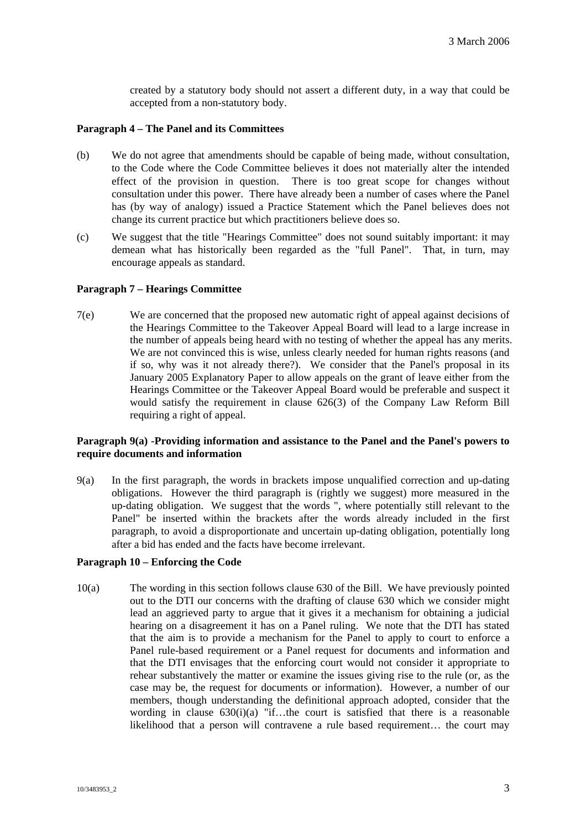created by a statutory body should not assert a different duty, in a way that could be accepted from a non-statutory body.

### **Paragraph 4 – The Panel and its Committees**

- (b) We do not agree that amendments should be capable of being made, without consultation, to the Code where the Code Committee believes it does not materially alter the intended effect of the provision in question. There is too great scope for changes without consultation under this power. There have already been a number of cases where the Panel has (by way of analogy) issued a Practice Statement which the Panel believes does not change its current practice but which practitioners believe does so.
- (c) We suggest that the title "Hearings Committee" does not sound suitably important: it may demean what has historically been regarded as the "full Panel". That, in turn, may encourage appeals as standard.

### **Paragraph 7 – Hearings Committee**

7(e) We are concerned that the proposed new automatic right of appeal against decisions of the Hearings Committee to the Takeover Appeal Board will lead to a large increase in the number of appeals being heard with no testing of whether the appeal has any merits. We are not convinced this is wise, unless clearly needed for human rights reasons (and if so, why was it not already there?). We consider that the Panel's proposal in its January 2005 Explanatory Paper to allow appeals on the grant of leave either from the Hearings Committee or the Takeover Appeal Board would be preferable and suspect it would satisfy the requirement in clause 626(3) of the Company Law Reform Bill requiring a right of appeal.

### **Paragraph 9(a) -Providing information and assistance to the Panel and the Panel's powers to require documents and information**

9(a) In the first paragraph, the words in brackets impose unqualified correction and up-dating obligations. However the third paragraph is (rightly we suggest) more measured in the up-dating obligation. We suggest that the words ", where potentially still relevant to the Panel" be inserted within the brackets after the words already included in the first paragraph, to avoid a disproportionate and uncertain up-dating obligation, potentially long after a bid has ended and the facts have become irrelevant.

#### **Paragraph 10 – Enforcing the Code**

10(a) The wording in this section follows clause 630 of the Bill. We have previously pointed out to the DTI our concerns with the drafting of clause 630 which we consider might lead an aggrieved party to argue that it gives it a mechanism for obtaining a judicial hearing on a disagreement it has on a Panel ruling. We note that the DTI has stated that the aim is to provide a mechanism for the Panel to apply to court to enforce a Panel rule-based requirement or a Panel request for documents and information and that the DTI envisages that the enforcing court would not consider it appropriate to rehear substantively the matter or examine the issues giving rise to the rule (or, as the case may be, the request for documents or information). However, a number of our members, though understanding the definitional approach adopted, consider that the wording in clause  $630(i)(a)$  "if...the court is satisfied that there is a reasonable likelihood that a person will contravene a rule based requirement… the court may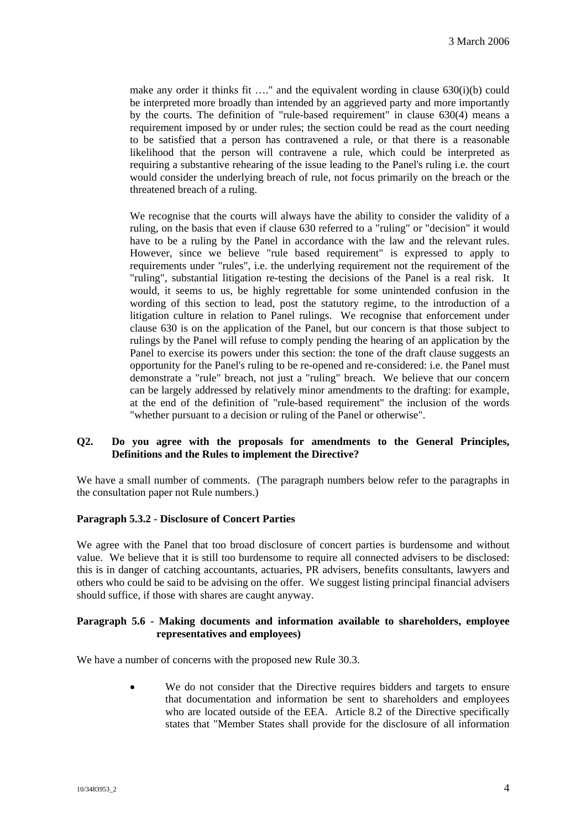make any order it thinks fit  $\dots$ " and the equivalent wording in clause 630(i)(b) could be interpreted more broadly than intended by an aggrieved party and more importantly by the courts. The definition of "rule-based requirement" in clause 630(4) means a requirement imposed by or under rules; the section could be read as the court needing to be satisfied that a person has contravened a rule, or that there is a reasonable likelihood that the person will contravene a rule, which could be interpreted as requiring a substantive rehearing of the issue leading to the Panel's ruling i.e. the court would consider the underlying breach of rule, not focus primarily on the breach or the threatened breach of a ruling.

We recognise that the courts will always have the ability to consider the validity of a ruling, on the basis that even if clause 630 referred to a "ruling" or "decision" it would have to be a ruling by the Panel in accordance with the law and the relevant rules. However, since we believe "rule based requirement" is expressed to apply to requirements under "rules", i.e. the underlying requirement not the requirement of the "ruling", substantial litigation re-testing the decisions of the Panel is a real risk. It would, it seems to us, be highly regrettable for some unintended confusion in the wording of this section to lead, post the statutory regime, to the introduction of a litigation culture in relation to Panel rulings. We recognise that enforcement under clause 630 is on the application of the Panel, but our concern is that those subject to rulings by the Panel will refuse to comply pending the hearing of an application by the Panel to exercise its powers under this section: the tone of the draft clause suggests an opportunity for the Panel's ruling to be re-opened and re-considered: i.e. the Panel must demonstrate a "rule" breach, not just a "ruling" breach. We believe that our concern can be largely addressed by relatively minor amendments to the drafting: for example, at the end of the definition of "rule-based requirement" the inclusion of the words "whether pursuant to a decision or ruling of the Panel or otherwise".

## **Q2. Do you agree with the proposals for amendments to the General Principles, Definitions and the Rules to implement the Directive?**

We have a small number of comments. (The paragraph numbers below refer to the paragraphs in the consultation paper not Rule numbers.)

## **Paragraph 5.3.2 - Disclosure of Concert Parties**

We agree with the Panel that too broad disclosure of concert parties is burdensome and without value. We believe that it is still too burdensome to require all connected advisers to be disclosed: this is in danger of catching accountants, actuaries, PR advisers, benefits consultants, lawyers and others who could be said to be advising on the offer. We suggest listing principal financial advisers should suffice, if those with shares are caught anyway.

### **Paragraph 5.6 - Making documents and information available to shareholders, employee representatives and employees)**

We have a number of concerns with the proposed new Rule 30.3.

• We do not consider that the Directive requires bidders and targets to ensure that documentation and information be sent to shareholders and employees who are located outside of the EEA. Article 8.2 of the Directive specifically states that "Member States shall provide for the disclosure of all information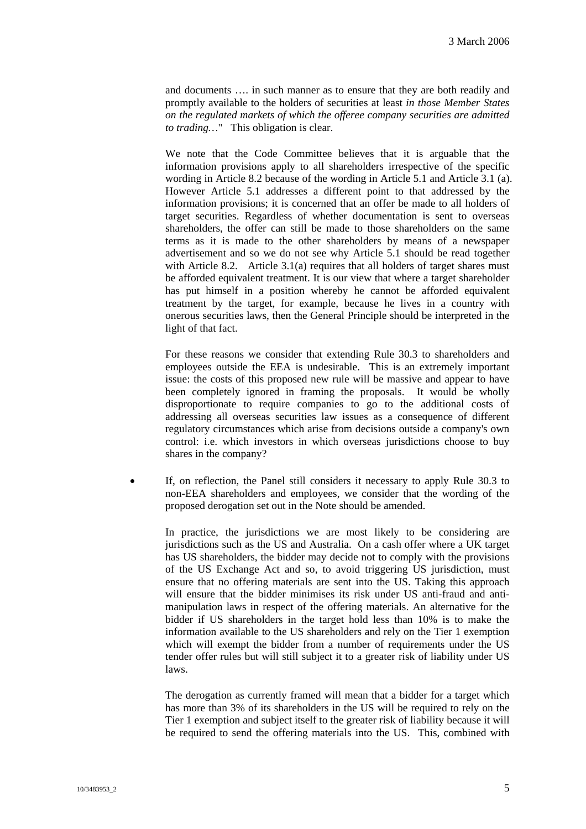and documents …. in such manner as to ensure that they are both readily and promptly available to the holders of securities at least *in those Member States on the regulated markets of which the offeree company securities are admitted to trading…*" This obligation is clear.

We note that the Code Committee believes that it is arguable that the information provisions apply to all shareholders irrespective of the specific wording in Article 8.2 because of the wording in Article 5.1 and Article 3.1 (a). However Article 5.1 addresses a different point to that addressed by the information provisions; it is concerned that an offer be made to all holders of target securities. Regardless of whether documentation is sent to overseas shareholders, the offer can still be made to those shareholders on the same terms as it is made to the other shareholders by means of a newspaper advertisement and so we do not see why Article 5.1 should be read together with Article 8.2. Article 3.1(a) requires that all holders of target shares must be afforded equivalent treatment. It is our view that where a target shareholder has put himself in a position whereby he cannot be afforded equivalent treatment by the target, for example, because he lives in a country with onerous securities laws, then the General Principle should be interpreted in the light of that fact.

For these reasons we consider that extending Rule 30.3 to shareholders and employees outside the EEA is undesirable. This is an extremely important issue: the costs of this proposed new rule will be massive and appear to have been completely ignored in framing the proposals. It would be wholly disproportionate to require companies to go to the additional costs of addressing all overseas securities law issues as a consequence of different regulatory circumstances which arise from decisions outside a company's own control: i.e. which investors in which overseas jurisdictions choose to buy shares in the company?

If, on reflection, the Panel still considers it necessary to apply Rule 30.3 to non-EEA shareholders and employees, we consider that the wording of the proposed derogation set out in the Note should be amended.

In practice, the jurisdictions we are most likely to be considering are jurisdictions such as the US and Australia. On a cash offer where a UK target has US shareholders, the bidder may decide not to comply with the provisions of the US Exchange Act and so, to avoid triggering US jurisdiction, must ensure that no offering materials are sent into the US. Taking this approach will ensure that the bidder minimises its risk under US anti-fraud and antimanipulation laws in respect of the offering materials. An alternative for the bidder if US shareholders in the target hold less than 10% is to make the information available to the US shareholders and rely on the Tier 1 exemption which will exempt the bidder from a number of requirements under the US tender offer rules but will still subject it to a greater risk of liability under US laws.

The derogation as currently framed will mean that a bidder for a target which has more than 3% of its shareholders in the US will be required to rely on the Tier 1 exemption and subject itself to the greater risk of liability because it will be required to send the offering materials into the US. This, combined with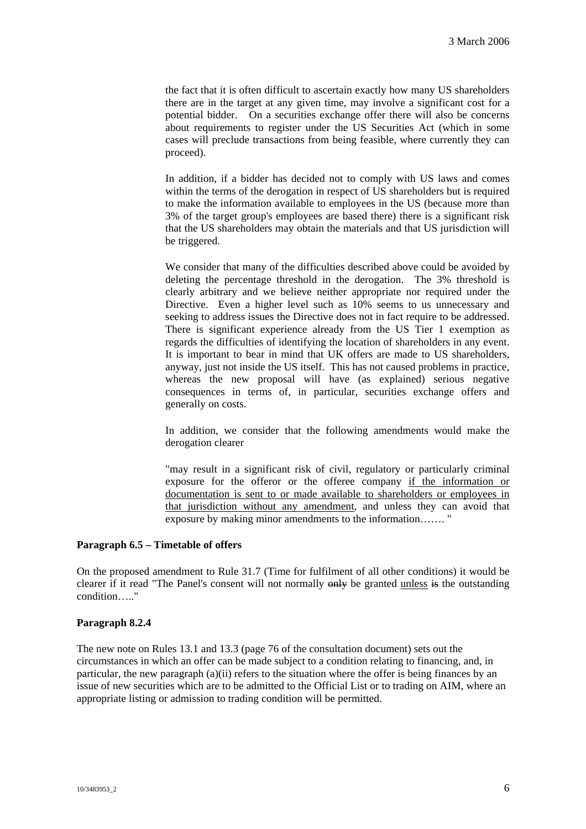the fact that it is often difficult to ascertain exactly how many US shareholders there are in the target at any given time, may involve a significant cost for a potential bidder. On a securities exchange offer there will also be concerns about requirements to register under the US Securities Act (which in some cases will preclude transactions from being feasible, where currently they can proceed).

In addition, if a bidder has decided not to comply with US laws and comes within the terms of the derogation in respect of US shareholders but is required to make the information available to employees in the US (because more than 3% of the target group's employees are based there) there is a significant risk that the US shareholders may obtain the materials and that US jurisdiction will be triggered.

We consider that many of the difficulties described above could be avoided by deleting the percentage threshold in the derogation. The 3% threshold is clearly arbitrary and we believe neither appropriate nor required under the Directive. Even a higher level such as 10% seems to us unnecessary and seeking to address issues the Directive does not in fact require to be addressed. There is significant experience already from the US Tier 1 exemption as regards the difficulties of identifying the location of shareholders in any event. It is important to bear in mind that UK offers are made to US shareholders, anyway, just not inside the US itself. This has not caused problems in practice, whereas the new proposal will have (as explained) serious negative consequences in terms of, in particular, securities exchange offers and generally on costs.

In addition, we consider that the following amendments would make the derogation clearer

"may result in a significant risk of civil, regulatory or particularly criminal exposure for the offeror or the offeree company if the information or documentation is sent to or made available to shareholders or employees in that jurisdiction without any amendment, and unless they can avoid that exposure by making minor amendments to the information……. "

## **Paragraph 6.5 – Timetable of offers**

On the proposed amendment to Rule 31.7 (Time for fulfilment of all other conditions) it would be clearer if it read "The Panel's consent will not normally only be granted unless is the outstanding condition….."

## **Paragraph 8.2.4**

The new note on Rules 13.1 and 13.3 (page 76 of the consultation document) sets out the circumstances in which an offer can be made subject to a condition relating to financing, and, in particular, the new paragraph (a)(ii) refers to the situation where the offer is being finances by an issue of new securities which are to be admitted to the Official List or to trading on AIM, where an appropriate listing or admission to trading condition will be permitted.